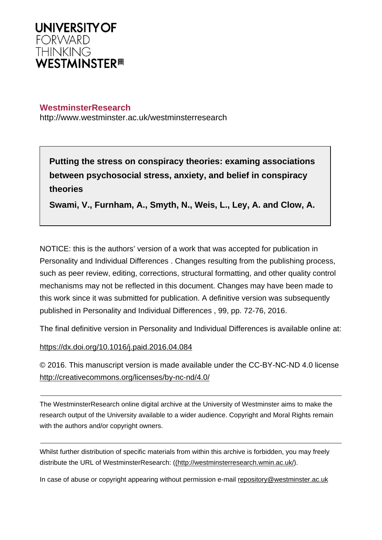

# **WestminsterResearch**

http://www.westminster.ac.uk/westminsterresearch

**Putting the stress on conspiracy theories: examing associations between psychosocial stress, anxiety, and belief in conspiracy theories**

**Swami, V., Furnham, A., Smyth, N., Weis, L., Ley, A. and Clow, A.**

NOTICE: this is the authors' version of a work that was accepted for publication in Personality and Individual Differences . Changes resulting from the publishing process, such as peer review, editing, corrections, structural formatting, and other quality control mechanisms may not be reflected in this document. Changes may have been made to this work since it was submitted for publication. A definitive version was subsequently published in Personality and Individual Differences , 99, pp. 72-76, 2016.

The final definitive version in Personality and Individual Differences is available online at:

<https://dx.doi.org/10.1016/j.paid.2016.04.084>

© 2016. This manuscript version is made available under the CC-BY-NC-ND 4.0 license <http://creativecommons.org/licenses/by-nc-nd/4.0/>

The WestminsterResearch online digital archive at the University of Westminster aims to make the research output of the University available to a wider audience. Copyright and Moral Rights remain with the authors and/or copyright owners.

Whilst further distribution of specific materials from within this archive is forbidden, you may freely distribute the URL of WestminsterResearch: [\(\(http://westminsterresearch.wmin.ac.uk/](http://westminsterresearch.wmin.ac.uk/)).

In case of abuse or copyright appearing without permission e-mail <repository@westminster.ac.uk>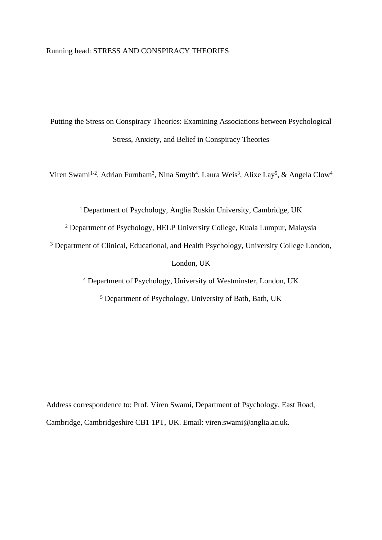## Running head: STRESS AND CONSPIRACY THEORIES

Putting the Stress on Conspiracy Theories: Examining Associations between Psychological Stress, Anxiety, and Belief in Conspiracy Theories

Viren Swami<sup>1-2</sup>, Adrian Furnham<sup>3</sup>, Nina Smyth<sup>4</sup>, Laura Weis<sup>3</sup>, Alixe Lay<sup>5</sup>, & Angela Clow<sup>4</sup>

<sup>1</sup>Department of Psychology, Anglia Ruskin University, Cambridge, UK

2 Department of Psychology, HELP University College, Kuala Lumpur, Malaysia

<sup>3</sup> Department of Clinical, Educational, and Health Psychology, University College London,

London, UK

4 Department of Psychology, University of Westminster, London, UK

5 Department of Psychology, University of Bath, Bath, UK

Address correspondence to: Prof. Viren Swami, Department of Psychology, East Road, Cambridge, Cambridgeshire CB1 1PT, UK. Email: viren.swami@anglia.ac.uk.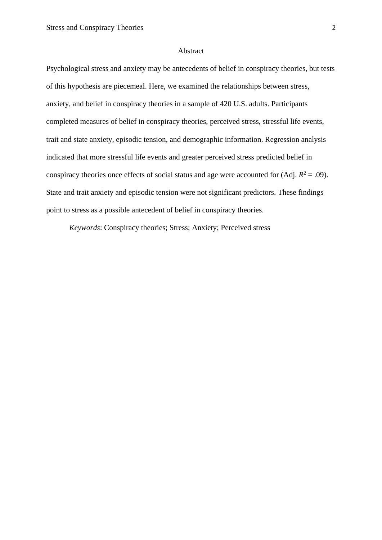#### Abstract

Psychological stress and anxiety may be antecedents of belief in conspiracy theories, but tests of this hypothesis are piecemeal. Here, we examined the relationships between stress, anxiety, and belief in conspiracy theories in a sample of 420 U.S. adults. Participants completed measures of belief in conspiracy theories, perceived stress, stressful life events, trait and state anxiety, episodic tension, and demographic information. Regression analysis indicated that more stressful life events and greater perceived stress predicted belief in conspiracy theories once effects of social status and age were accounted for  $(Adj. R<sup>2</sup> = .09)$ . State and trait anxiety and episodic tension were not significant predictors. These findings point to stress as a possible antecedent of belief in conspiracy theories.

*Keywords*: Conspiracy theories; Stress; Anxiety; Perceived stress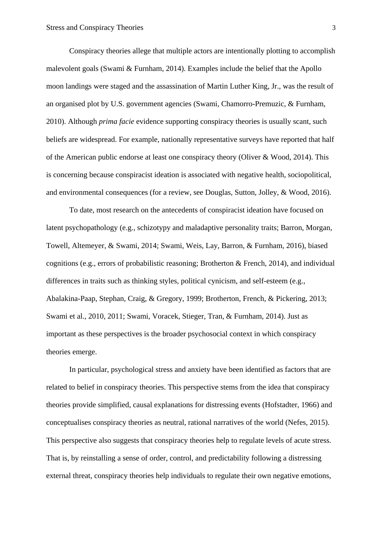Conspiracy theories allege that multiple actors are intentionally plotting to accomplish malevolent goals (Swami & Furnham, 2014). Examples include the belief that the Apollo moon landings were staged and the assassination of Martin Luther King, Jr., was the result of an organised plot by U.S. government agencies (Swami, Chamorro-Premuzic, & Furnham, 2010). Although *prima facie* evidence supporting conspiracy theories is usually scant, such beliefs are widespread. For example, nationally representative surveys have reported that half of the American public endorse at least one conspiracy theory (Oliver & Wood, 2014). This is concerning because conspiracist ideation is associated with negative health, sociopolitical, and environmental consequences (for a review, see Douglas, Sutton, Jolley, & Wood, 2016).

To date, most research on the antecedents of conspiracist ideation have focused on latent psychopathology (e.g., schizotypy and maladaptive personality traits; Barron, Morgan, Towell, Altemeyer, & Swami, 2014; Swami, Weis, Lay, Barron, & Furnham, 2016), biased cognitions (e.g., errors of probabilistic reasoning; Brotherton & French, 2014), and individual differences in traits such as thinking styles, political cynicism, and self-esteem (e.g., Abalakina-Paap, Stephan, Craig, & Gregory, 1999; Brotherton, French, & Pickering, 2013; Swami et al., 2010, 2011; Swami, Voracek, Stieger, Tran, & Furnham, 2014). Just as important as these perspectives is the broader psychosocial context in which conspiracy theories emerge.

In particular, psychological stress and anxiety have been identified as factors that are related to belief in conspiracy theories. This perspective stems from the idea that conspiracy theories provide simplified, causal explanations for distressing events (Hofstadter, 1966) and conceptualises conspiracy theories as neutral, rational narratives of the world (Nefes, 2015). This perspective also suggests that conspiracy theories help to regulate levels of acute stress. That is, by reinstalling a sense of order, control, and predictability following a distressing external threat, conspiracy theories help individuals to regulate their own negative emotions,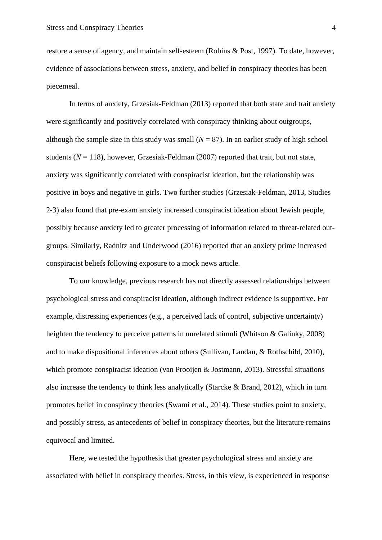restore a sense of agency, and maintain self-esteem (Robins & Post, 1997). To date, however, evidence of associations between stress, anxiety, and belief in conspiracy theories has been piecemeal.

In terms of anxiety, Grzesiak-Feldman (2013) reported that both state and trait anxiety were significantly and positively correlated with conspiracy thinking about outgroups, although the sample size in this study was small  $(N = 87)$ . In an earlier study of high school students  $(N = 118)$ , however, Grzesiak-Feldman  $(2007)$  reported that trait, but not state, anxiety was significantly correlated with conspiracist ideation, but the relationship was positive in boys and negative in girls. Two further studies (Grzesiak-Feldman, 2013, Studies 2-3) also found that pre-exam anxiety increased conspiracist ideation about Jewish people, possibly because anxiety led to greater processing of information related to threat-related outgroups. Similarly, Radnitz and Underwood (2016) reported that an anxiety prime increased conspiracist beliefs following exposure to a mock news article.

To our knowledge, previous research has not directly assessed relationships between psychological stress and conspiracist ideation, although indirect evidence is supportive. For example, distressing experiences (e.g., a perceived lack of control, subjective uncertainty) heighten the tendency to perceive patterns in unrelated stimuli (Whitson & Galinky, 2008) and to make dispositional inferences about others (Sullivan, Landau, & Rothschild, 2010), which promote conspiracist ideation (van Prooijen & Jostmann, 2013). Stressful situations also increase the tendency to think less analytically (Starcke & Brand, 2012), which in turn promotes belief in conspiracy theories (Swami et al., 2014). These studies point to anxiety, and possibly stress, as antecedents of belief in conspiracy theories, but the literature remains equivocal and limited.

Here, we tested the hypothesis that greater psychological stress and anxiety are associated with belief in conspiracy theories. Stress, in this view, is experienced in response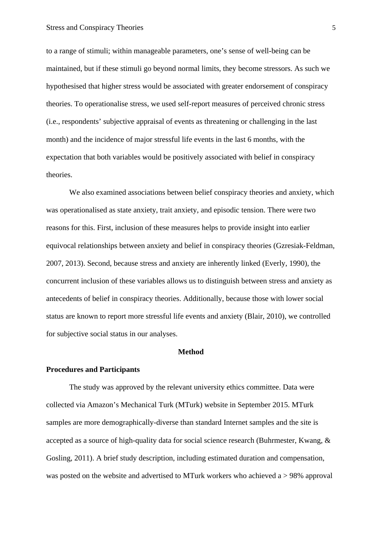to a range of stimuli; within manageable parameters, one's sense of well-being can be maintained, but if these stimuli go beyond normal limits, they become stressors. As such we hypothesised that higher stress would be associated with greater endorsement of conspiracy theories. To operationalise stress, we used self-report measures of perceived chronic stress (i.e., respondents' subjective appraisal of events as threatening or challenging in the last month) and the incidence of major stressful life events in the last 6 months, with the expectation that both variables would be positively associated with belief in conspiracy theories.

We also examined associations between belief conspiracy theories and anxiety, which was operationalised as state anxiety, trait anxiety, and episodic tension. There were two reasons for this. First, inclusion of these measures helps to provide insight into earlier equivocal relationships between anxiety and belief in conspiracy theories (Gzresiak-Feldman, 2007, 2013). Second, because stress and anxiety are inherently linked (Everly, 1990), the concurrent inclusion of these variables allows us to distinguish between stress and anxiety as antecedents of belief in conspiracy theories. Additionally, because those with lower social status are known to report more stressful life events and anxiety (Blair, 2010), we controlled for subjective social status in our analyses.

#### **Method**

## **Procedures and Participants**

The study was approved by the relevant university ethics committee. Data were collected via Amazon's Mechanical Turk (MTurk) website in September 2015. MTurk samples are more demographically-diverse than standard Internet samples and the site is accepted as a source of high-quality data for social science research (Buhrmester, Kwang, & Gosling, 2011). A brief study description, including estimated duration and compensation, was posted on the website and advertised to MTurk workers who achieved a > 98% approval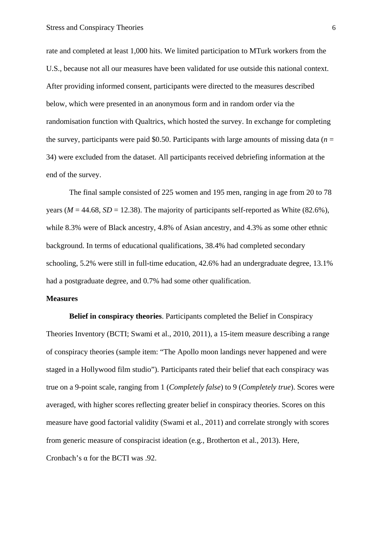rate and completed at least 1,000 hits. We limited participation to MTurk workers from the U.S., because not all our measures have been validated for use outside this national context. After providing informed consent, participants were directed to the measures described below, which were presented in an anonymous form and in random order via the randomisation function with Qualtrics, which hosted the survey. In exchange for completing the survey, participants were paid \$0.50. Participants with large amounts of missing data  $(n =$ 34) were excluded from the dataset. All participants received debriefing information at the end of the survey.

The final sample consisted of 225 women and 195 men, ranging in age from 20 to 78 years ( $M = 44.68$ ,  $SD = 12.38$ ). The majority of participants self-reported as White (82.6%), while 8.3% were of Black ancestry, 4.8% of Asian ancestry, and 4.3% as some other ethnic background. In terms of educational qualifications, 38.4% had completed secondary schooling, 5.2% were still in full-time education, 42.6% had an undergraduate degree, 13.1% had a postgraduate degree, and 0.7% had some other qualification.

#### **Measures**

**Belief in conspiracy theories**. Participants completed the Belief in Conspiracy Theories Inventory (BCTI; Swami et al., 2010, 2011), a 15-item measure describing a range of conspiracy theories (sample item: "The Apollo moon landings never happened and were staged in a Hollywood film studio"). Participants rated their belief that each conspiracy was true on a 9-point scale, ranging from 1 (*Completely false*) to 9 (*Completely true*). Scores were averaged, with higher scores reflecting greater belief in conspiracy theories. Scores on this measure have good factorial validity (Swami et al., 2011) and correlate strongly with scores from generic measure of conspiracist ideation (e.g., Brotherton et al., 2013). Here, Cronbach's α for the BCTI was .92.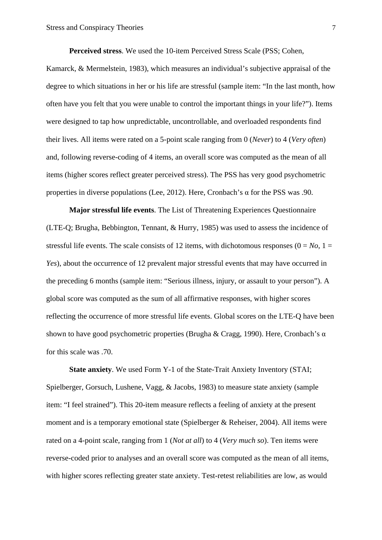**Perceived stress**. We used the 10-item Perceived Stress Scale (PSS; Cohen, Kamarck, & Mermelstein, 1983), which measures an individual's subjective appraisal of the degree to which situations in her or his life are stressful (sample item: "In the last month, how often have you felt that you were unable to control the important things in your life?"). Items were designed to tap how unpredictable, uncontrollable, and overloaded respondents find their lives. All items were rated on a 5-point scale ranging from 0 (*Never*) to 4 (*Very often*) and, following reverse-coding of 4 items, an overall score was computed as the mean of all items (higher scores reflect greater perceived stress). The PSS has very good psychometric properties in diverse populations (Lee, 2012). Here, Cronbach's  $\alpha$  for the PSS was .90.

**Major stressful life events**. The List of Threatening Experiences Questionnaire (LTE-Q; Brugha, Bebbington, Tennant, & Hurry, 1985) was used to assess the incidence of stressful life events. The scale consists of 12 items, with dichotomous responses  $(0 = No, 1 =$ *Yes*), about the occurrence of 12 prevalent major stressful events that may have occurred in the preceding 6 months (sample item: "Serious illness, injury, or assault to your person"). A global score was computed as the sum of all affirmative responses, with higher scores reflecting the occurrence of more stressful life events. Global scores on the LTE-Q have been shown to have good psychometric properties (Brugha & Cragg, 1990). Here, Cronbach's  $\alpha$ for this scale was .70.

**State anxiety**. We used Form Y-1 of the State-Trait Anxiety Inventory (STAI; Spielberger, Gorsuch, Lushene, Vagg, & Jacobs, 1983) to measure state anxiety (sample item: "I feel strained"). This 20-item measure reflects a feeling of anxiety at the present moment and is a temporary emotional state (Spielberger & Reheiser, 2004). All items were rated on a 4-point scale, ranging from 1 (*Not at all*) to 4 (*Very much so*). Ten items were reverse-coded prior to analyses and an overall score was computed as the mean of all items, with higher scores reflecting greater state anxiety. Test-retest reliabilities are low, as would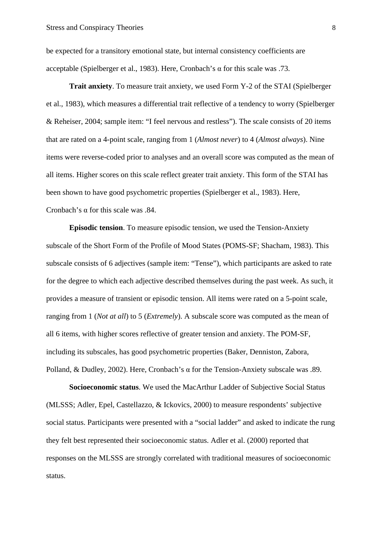be expected for a transitory emotional state, but internal consistency coefficients are acceptable (Spielberger et al., 1983). Here, Cronbach's α for this scale was .73.

**Trait anxiety**. To measure trait anxiety, we used Form Y-2 of the STAI (Spielberger et al., 1983), which measures a differential trait reflective of a tendency to worry (Spielberger & Reheiser, 2004; sample item: "I feel nervous and restless"). The scale consists of 20 items that are rated on a 4-point scale, ranging from 1 (*Almost never*) to 4 (*Almost always*). Nine items were reverse-coded prior to analyses and an overall score was computed as the mean of all items. Higher scores on this scale reflect greater trait anxiety. This form of the STAI has been shown to have good psychometric properties (Spielberger et al., 1983). Here, Cronbach's α for this scale was .84.

**Episodic tension**. To measure episodic tension, we used the Tension-Anxiety subscale of the Short Form of the Profile of Mood States (POMS-SF; Shacham, 1983). This subscale consists of 6 adjectives (sample item: "Tense"), which participants are asked to rate for the degree to which each adjective described themselves during the past week. As such, it provides a measure of transient or episodic tension. All items were rated on a 5-point scale, ranging from 1 (*Not at all*) to 5 (*Extremely*). A subscale score was computed as the mean of all 6 items, with higher scores reflective of greater tension and anxiety. The POM-SF, including its subscales, has good psychometric properties (Baker, Denniston, Zabora, Polland, & Dudley, 2002). Here, Cronbach's α for the Tension-Anxiety subscale was .89.

**Socioeconomic status**. We used the MacArthur Ladder of Subjective Social Status (MLSSS; Adler, Epel, Castellazzo, & Ickovics, 2000) to measure respondents' subjective social status. Participants were presented with a "social ladder" and asked to indicate the rung they felt best represented their socioeconomic status. Adler et al. (2000) reported that responses on the MLSSS are strongly correlated with traditional measures of socioeconomic status.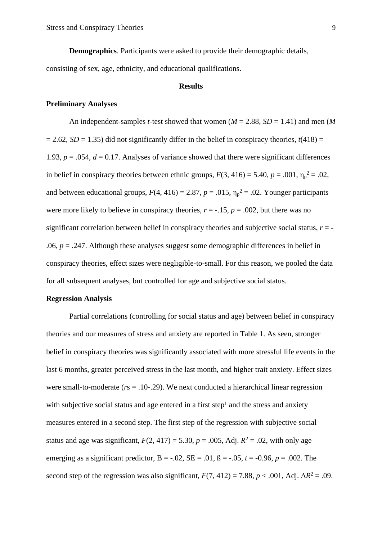**Demographics**. Participants were asked to provide their demographic details, consisting of sex, age, ethnicity, and educational qualifications.

#### **Results**

## **Preliminary Analyses**

An independent-samples *t*-test showed that women (*M* = 2.88, *SD* = 1.41) and men (*M*  $= 2.62$ , *SD* = 1.35) did not significantly differ in the belief in conspiracy theories,  $t(418) =$ 1.93,  $p = 0.054$ ,  $d = 0.17$ . Analyses of variance showed that there were significant differences in belief in conspiracy theories between ethnic groups,  $F(3, 416) = 5.40$ ,  $p = .001$ ,  $\eta_p^2 = .02$ , and between educational groups,  $F(4, 416) = 2.87$ ,  $p = .015$ ,  $\eta_p^2 = .02$ . Younger participants were more likely to believe in conspiracy theories,  $r = -15$ ,  $p = .002$ , but there was no significant correlation between belief in conspiracy theories and subjective social status,  $r = -$ .06,  $p = 0.247$ . Although these analyses suggest some demographic differences in belief in conspiracy theories, effect sizes were negligible-to-small. For this reason, we pooled the data for all subsequent analyses, but controlled for age and subjective social status.

### **Regression Analysis**

Partial correlations (controlling for social status and age) between belief in conspiracy theories and our measures of stress and anxiety are reported in Table 1. As seen, stronger belief in conspiracy theories was significantly associated with more stressful life events in the last 6 months, greater perceived stress in the last month, and higher trait anxiety. Effect sizes were small-to-moderate (*r*s = .10-.29). We next conducted a hierarchical linear regression with subjective social status and age entered in a first step<sup>1</sup> and the stress and anxiety measures entered in a second step. The first step of the regression with subjective social status and age was significant,  $F(2, 417) = 5.30$ ,  $p = .005$ , Adj.  $R^2 = .02$ , with only age emerging as a significant predictor,  $B = -.02$ ,  $SE = .01$ ,  $B = -.05$ ,  $t = .0.96$ ,  $p = .002$ . The second step of the regression was also significant,  $F(7, 412) = 7.88$ ,  $p < .001$ , Adj.  $\Delta R^2 = .09$ .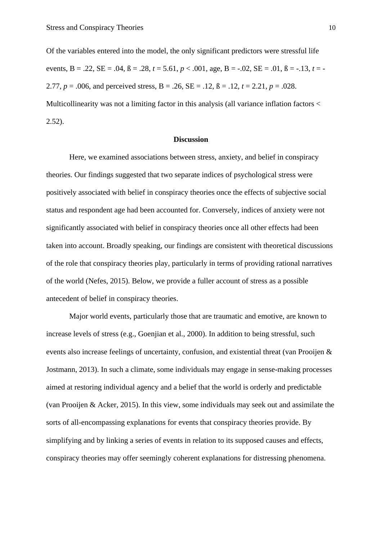Of the variables entered into the model, the only significant predictors were stressful life events,  $B = .22$ ,  $SE = .04$ ,  $B = .28$ ,  $t = 5.61$ ,  $p < .001$ , age,  $B = -.02$ ,  $SE = .01$ ,  $B = -.13$ ,  $t = -$ 2.77,  $p = .006$ , and perceived stress,  $B = .26$ ,  $SE = .12$ ,  $B = .12$ ,  $t = 2.21$ ,  $p = .028$ . Multicollinearity was not a limiting factor in this analysis (all variance inflation factors < 2.52).

## **Discussion**

Here, we examined associations between stress, anxiety, and belief in conspiracy theories. Our findings suggested that two separate indices of psychological stress were positively associated with belief in conspiracy theories once the effects of subjective social status and respondent age had been accounted for. Conversely, indices of anxiety were not significantly associated with belief in conspiracy theories once all other effects had been taken into account. Broadly speaking, our findings are consistent with theoretical discussions of the role that conspiracy theories play, particularly in terms of providing rational narratives of the world (Nefes, 2015). Below, we provide a fuller account of stress as a possible antecedent of belief in conspiracy theories.

Major world events, particularly those that are traumatic and emotive, are known to increase levels of stress (e.g., Goenjian et al., 2000). In addition to being stressful, such events also increase feelings of uncertainty, confusion, and existential threat (van Prooijen & Jostmann, 2013). In such a climate, some individuals may engage in sense-making processes aimed at restoring individual agency and a belief that the world is orderly and predictable (van Prooijen & Acker, 2015). In this view, some individuals may seek out and assimilate the sorts of all-encompassing explanations for events that conspiracy theories provide. By simplifying and by linking a series of events in relation to its supposed causes and effects, conspiracy theories may offer seemingly coherent explanations for distressing phenomena.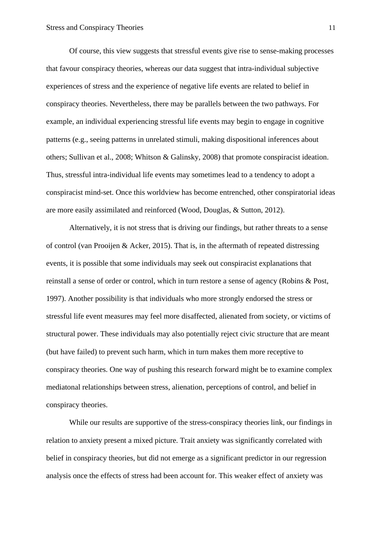Of course, this view suggests that stressful events give rise to sense-making processes that favour conspiracy theories, whereas our data suggest that intra-individual subjective experiences of stress and the experience of negative life events are related to belief in conspiracy theories. Nevertheless, there may be parallels between the two pathways. For example, an individual experiencing stressful life events may begin to engage in cognitive patterns (e.g., seeing patterns in unrelated stimuli, making dispositional inferences about others; Sullivan et al., 2008; Whitson & Galinsky, 2008) that promote conspiracist ideation. Thus, stressful intra-individual life events may sometimes lead to a tendency to adopt a conspiracist mind-set. Once this worldview has become entrenched, other conspiratorial ideas are more easily assimilated and reinforced (Wood, Douglas, & Sutton, 2012).

Alternatively, it is not stress that is driving our findings, but rather threats to a sense of control (van Prooijen & Acker, 2015). That is, in the aftermath of repeated distressing events, it is possible that some individuals may seek out conspiracist explanations that reinstall a sense of order or control, which in turn restore a sense of agency (Robins & Post, 1997). Another possibility is that individuals who more strongly endorsed the stress or stressful life event measures may feel more disaffected, alienated from society, or victims of structural power. These individuals may also potentially reject civic structure that are meant (but have failed) to prevent such harm, which in turn makes them more receptive to conspiracy theories. One way of pushing this research forward might be to examine complex mediatonal relationships between stress, alienation, perceptions of control, and belief in conspiracy theories.

While our results are supportive of the stress-conspiracy theories link, our findings in relation to anxiety present a mixed picture. Trait anxiety was significantly correlated with belief in conspiracy theories, but did not emerge as a significant predictor in our regression analysis once the effects of stress had been account for. This weaker effect of anxiety was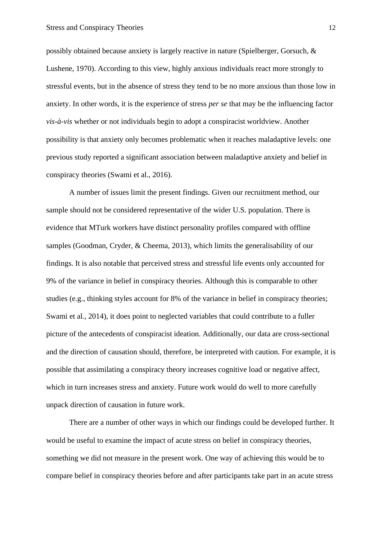possibly obtained because anxiety is largely reactive in nature (Spielberger, Gorsuch, & Lushene, 1970). According to this view, highly anxious individuals react more strongly to stressful events, but in the absence of stress they tend to be no more anxious than those low in anxiety. In other words, it is the experience of stress *per se* that may be the influencing factor *vis-à-vis* whether or not individuals begin to adopt a conspiracist worldview. Another possibility is that anxiety only becomes problematic when it reaches maladaptive levels: one previous study reported a significant association between maladaptive anxiety and belief in conspiracy theories (Swami et al., 2016).

A number of issues limit the present findings. Given our recruitment method, our sample should not be considered representative of the wider U.S. population. There is evidence that MTurk workers have distinct personality profiles compared with offline samples (Goodman, Cryder, & Cheema, 2013), which limits the generalisability of our findings. It is also notable that perceived stress and stressful life events only accounted for 9% of the variance in belief in conspiracy theories. Although this is comparable to other studies (e.g., thinking styles account for 8% of the variance in belief in conspiracy theories; Swami et al., 2014), it does point to neglected variables that could contribute to a fuller picture of the antecedents of conspiracist ideation. Additionally, our data are cross-sectional and the direction of causation should, therefore, be interpreted with caution. For example, it is possible that assimilating a conspiracy theory increases cognitive load or negative affect, which in turn increases stress and anxiety. Future work would do well to more carefully unpack direction of causation in future work.

There are a number of other ways in which our findings could be developed further. It would be useful to examine the impact of acute stress on belief in conspiracy theories, something we did not measure in the present work. One way of achieving this would be to compare belief in conspiracy theories before and after participants take part in an acute stress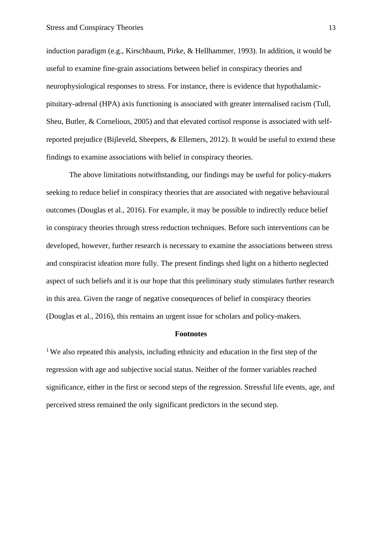induction paradigm (e.g., Kirschbaum, Pirke, & Hellhammer, 1993). In addition, it would be useful to examine fine-grain associations between belief in conspiracy theories and neurophysiological responses to stress. For instance, there is evidence that hypothalamicpituitary-adrenal (HPA) axis functioning is associated with greater internalised racism (Tull, Sheu, Butler, & Cornelious, 2005) and that elevated cortisol response is associated with selfreported prejudice (Bijleveld, Sheepers, & Ellemers, 2012). It would be useful to extend these findings to examine associations with belief in conspiracy theories.

The above limitations notwithstanding, our findings may be useful for policy-makers seeking to reduce belief in conspiracy theories that are associated with negative behavioural outcomes (Douglas et al., 2016). For example, it may be possible to indirectly reduce belief in conspiracy theories through stress reduction techniques. Before such interventions can be developed, however, further research is necessary to examine the associations between stress and conspiracist ideation more fully. The present findings shed light on a hitherto neglected aspect of such beliefs and it is our hope that this preliminary study stimulates further research in this area. Given the range of negative consequences of belief in conspiracy theories (Douglas et al., 2016), this remains an urgent issue for scholars and policy-makers.

## **Footnotes**

<sup>1</sup>We also repeated this analysis, including ethnicity and education in the first step of the regression with age and subjective social status. Neither of the former variables reached significance, either in the first or second steps of the regression. Stressful life events, age, and perceived stress remained the only significant predictors in the second step.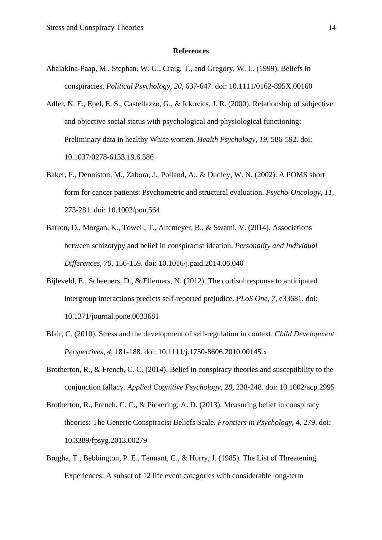#### **References**

- Abalakina-Paap, M., Stephan, W. G., Craig, T., and Gregory, W. L. (1999). Beliefs in conspiracies. *Political Psychology*, *20*, 637-647. doi: 10.1111/0162-895X.00160
- Adler, N. E., Epel, E. S., Castellazzo, G., & Ickovics, J. R. (2000). Relationship of subjective and objective social status with psychological and physiological functioning: Preliminary data in healthy White women. *Health Psychology*, *19*, 586-592. doi: 10.1037/0278-6133.19.6.586
- Baker, F., Denniston, M., Zabora, J., Polland, A., & Dudley, W. N. (2002). A POMS short form for cancer patients: Psychometric and structural evaluation. *Psycho-Oncology*, *11*, 273-281. doi: 10.1002/pon.564
- Barron, D., Morgan, K., Towell, T., Altemeyer, B., & Swami, V. (2014). Associations between schizotypy and belief in conspiracist ideation. *Personality and Individual Differences*, *70*, 156-159. doi: 10.1016/j.paid.2014.06.040
- Bijleveld, E., Scheepers, D., & Ellemers, N. (2012). The cortisol response to anticipated intergroup interactions predicts self-reported prejudice. *PLoS One*, *7*, e33681. doi: 10.1371/journal.pone.0033681
- Blair, C. (2010). Stress and the development of self-regulation in context. *Child Development Perspectives*, *4*, 181-188. doi: 10.1111/j.1750-8606.2010.00145.x
- Brotherton, R., & French, C. C. (2014). Belief in conspiracy theories and susceptibility to the conjunction fallacy. *Applied Cognitive Psychology*, *28*, 238-248. doi: 10.1002/acp.2995
- Brotherton, R., French, C. C., & Pickering, A. D. (2013). Measuring belief in conspiracy theories: The Generic Conspiracist Beliefs Scale. *Frontiers in Psychology*, *4*, 279. doi: 10.3389/fpsyg.2013.00279
- Brugha, T., Bebbington, P. E., Tennant, C., & Hurry, J. (1985). The List of Threatening Experiences: A subset of 12 life event categories with considerable long-term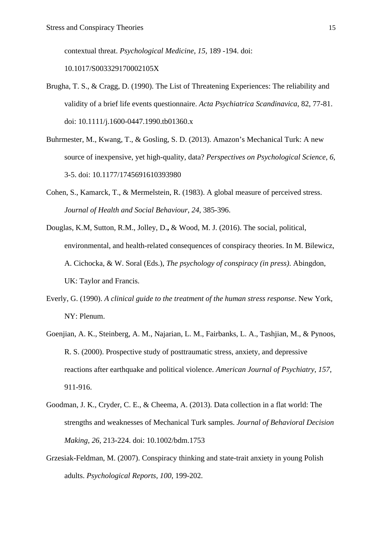contextual threat. *Psychological Medicine*, *15*, 189 -194. doi:

10.1017/S003329170002105X

- Brugha, T. S., & Cragg, D. (1990). The List of Threatening Experiences: The reliability and validity of a brief life events questionnaire. *Acta Psychiatrica Scandinavica*, 82, 77-81. doi: 10.1111/j.1600-0447.1990.tb01360.x
- Buhrmester, M., Kwang, T., & Gosling, S. D. (2013). Amazon's Mechanical Turk: A new source of inexpensive, yet high-quality, data? *Perspectives on Psychological Science*, *6*, 3-5. doi: 10.1177/1745691610393980
- Cohen, S., Kamarck, T., & Mermelstein, R. (1983). A global measure of perceived stress. *Journal of Health and Social Behaviour*, *24*, 385-396.
- Douglas, K.M, Sutton, R.M., Jolley, D.**,** & Wood, M. J. (2016). The social, political, environmental, and health-related consequences of conspiracy theories. In M. Bilewicz, A. Cichocka, & W. Soral (Eds.), *The psychology of conspiracy (in press)*. Abingdon, UK: Taylor and Francis.
- Everly, G. (1990). *A clinical guide to the treatment of the human stress response*. New York, NY: Plenum.
- Goenjian, A. K., Steinberg, A. M., Najarian, L. M., Fairbanks, L. A., Tashjian, M., & Pynoos, R. S. (2000). Prospective study of posttraumatic stress, anxiety, and depressive reactions after earthquake and political violence. *American Journal of Psychiatry*, *157*, 911-916.
- Goodman, J. K., Cryder, C. E., & Cheema, A. (2013). Data collection in a flat world: The strengths and weaknesses of Mechanical Turk samples. *Journal of Behavioral Decision Making*, *26*, 213-224. doi: 10.1002/bdm.1753
- Grzesiak-Feldman, M. (2007). Conspiracy thinking and state-trait anxiety in young Polish adults. *Psychological Reports*, *100*, 199-202.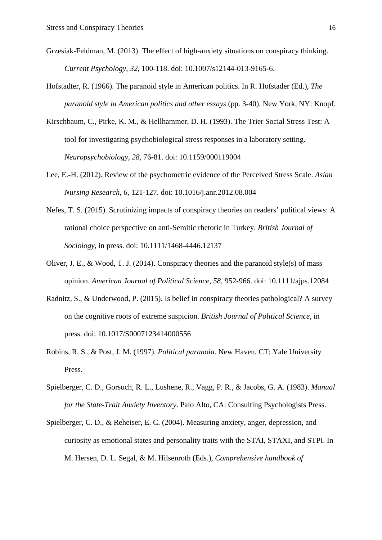- Grzesiak-Feldman, M. (2013). The effect of high-anxiety situations on conspiracy thinking. *Current Psychology*, *32*, 100-118. doi: 10.1007/s12144-013-9165-6.
- Hofstadter, R. (1966). The paranoid style in American politics. In R. Hofstader (Ed.), *The paranoid style in American politics and other essays* (pp. 3-40). New York, NY: Knopf.
- Kirschbaum, C., Pirke, K. M., & Hellhammer, D. H. (1993). The Trier Social Stress Test: A tool for investigating psychobiological stress responses in a laboratory setting. *Neuropsychobiology*, *28*, 76-81. doi: 10.1159/000119004
- Lee, E.-H. (2012). Review of the psychometric evidence of the Perceived Stress Scale. *Asian Nursing Research*, *6*, 121-127. doi: 10.1016/j.anr.2012.08.004
- Nefes, T. S. (2015). Scrutinizing impacts of conspiracy theories on readers' political views: A rational choice perspective on anti-Semitic rhetoric in Turkey. *British Journal of Sociology*, in press. doi: 10.1111/1468-4446.12137
- Oliver, J. E., & Wood, T. J. (2014). Conspiracy theories and the paranoid style(s) of mass opinion. *American Journal of Political Science*, *58*, 952-966. doi: 10.1111/ajps.12084
- Radnitz, S., & Underwood, P. (2015). Is belief in conspiracy theories pathological? A survey on the cognitive roots of extreme suspicion. *British Journal of Political Science*, in press. doi: [10.1017/S0007123414000556](http://dx.doi.org/10.1017/S0007123414000556)
- Robins, R. S., & Post, J. M. (1997). *Political paranoia*. New Haven, CT: Yale University Press.
- Spielberger, C. D., Gorsuch, R. L., Lushene, R., Vagg, P. R., & Jacobs, G. A. (1983). *Manual for the State-Trait Anxiety Inventory*. Palo Alto, CA: Consulting Psychologists Press.
- Spielberger, C. D., & Reheiser, E. C. (2004). Measuring anxiety, anger, depression, and curiosity as emotional states and personality traits with the STAI, STAXI, and STPI. In M. Hersen, D. L. Segal, & M. Hilsenroth (Eds.), *Comprehensive handbook of*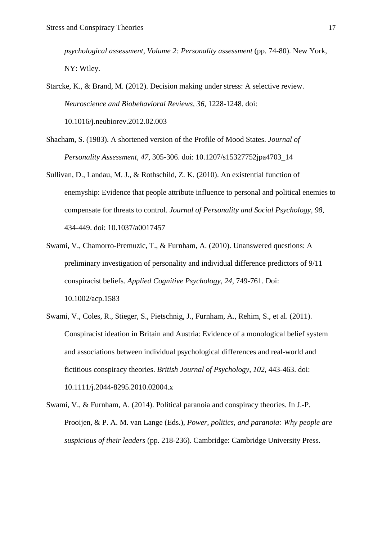*psychological assessment, Volume 2: Personality assessment* (pp. 74-80). New York, NY: Wiley.

Starcke, K., & Brand, M. (2012). Decision making under stress: A selective review. *Neuroscience and Biobehavioral Reviews*, *36*, 1228-1248. doi:

10.1016/j.neubiorev.2012.02.003

- Shacham, S. (1983). A shortened version of the Profile of Mood States. *Journal of Personality Assessment*, *47*, 305-306. doi: 10.1207/s15327752jpa4703\_14
- Sullivan, D., Landau, M. J., & Rothschild, Z. K. (2010). An existential function of enemyship: Evidence that people attribute influence to personal and political enemies to compensate for threats to control. *Journal of Personality and Social Psychology*, *98*, 434-449. doi: 10.1037/a0017457
- Swami, V., Chamorro-Premuzic, T., & Furnham, A. (2010). Unanswered questions: A preliminary investigation of personality and individual difference predictors of 9/11 conspiracist beliefs. *Applied Cognitive Psychology*, *24*, 749-761. Doi: 10.1002/acp.1583
- Swami, V., Coles, R., Stieger, S., Pietschnig, J., Furnham, A., Rehim, S., et al. (2011). Conspiracist ideation in Britain and Austria: Evidence of a monological belief system and associations between individual psychological differences and real-world and fictitious conspiracy theories. *British Journal of Psychology*, *102*, 443-463. doi: 10.1111/j.2044-8295.2010.02004.x
- Swami, V., & Furnham, A. (2014). Political paranoia and conspiracy theories. In J.-P. Prooijen, & P. A. M. van Lange (Eds.), *Power, politics, and paranoia: Why people are suspicious of their leaders* (pp. 218-236). Cambridge: Cambridge University Press.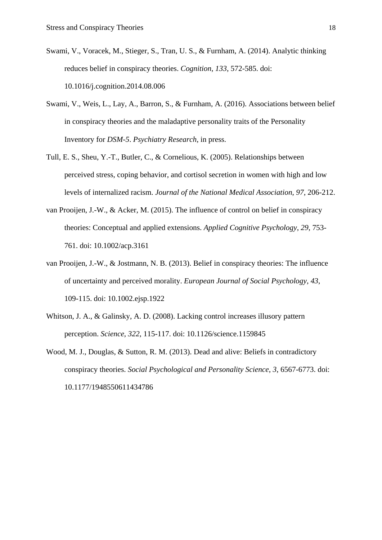- Swami, V., Voracek, M., Stieger, S., Tran, U. S., & Furnham, A. (2014). Analytic thinking reduces belief in conspiracy theories. *Cognition*, *133*, 572-585. doi: 10.1016/j.cognition.2014.08.006
- Swami, V., Weis, L., Lay, A., Barron, S., & Furnham, A. (2016). Associations between belief in conspiracy theories and the maladaptive personality traits of the Personality Inventory for *DSM-5*. *Psychiatry Research*, in press.
- Tull, E. S., Sheu, Y.-T., Butler, C., & Cornelious, K. (2005). Relationships between perceived stress, coping behavior, and cortisol secretion in women with high and low levels of internalized racism. *Journal of the National Medical Association*, *97*, 206-212.
- van Prooijen, J.-W., & Acker, M. (2015). The influence of control on belief in conspiracy theories: Conceptual and applied extensions. *Applied Cognitive Psychology*, *29*, 753- 761. doi: 10.1002/acp.3161
- van Prooijen, J.-W., & Jostmann, N. B. (2013). Belief in conspiracy theories: The influence of uncertainty and perceived morality. *European Journal of Social Psychology*, *43*, 109-115. doi: 10.1002.ejsp.1922
- Whitson, J. A., & Galinsky, A. D. (2008). Lacking control increases illusory pattern perception. *Science*, *322*, 115-117. doi: 10.1126/science.1159845
- Wood, M. J., Douglas, & Sutton, R. M. (2013). Dead and alive: Beliefs in contradictory conspiracy theories. *Social Psychological and Personality Science*, *3*, 6567-6773. doi: 10.1177/1948550611434786